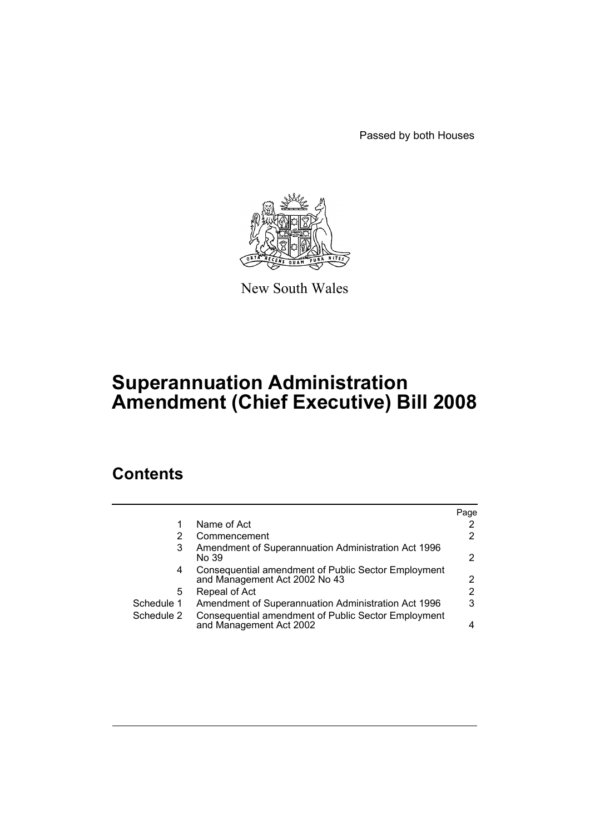Passed by both Houses



New South Wales

# **Superannuation Administration Amendment (Chief Executive) Bill 2008**

## **Contents**

|            |                                                                                      | Page |
|------------|--------------------------------------------------------------------------------------|------|
| 1          | Name of Act                                                                          | 2    |
| 2          | Commencement                                                                         | 2    |
| 3          | Amendment of Superannuation Administration Act 1996<br>No 39                         | 2    |
| 4          | Consequential amendment of Public Sector Employment<br>and Management Act 2002 No 43 | 2    |
| 5          | Repeal of Act                                                                        | 2    |
| Schedule 1 | Amendment of Superannuation Administration Act 1996                                  | 3    |
| Schedule 2 | Consequential amendment of Public Sector Employment<br>and Management Act 2002       | 4    |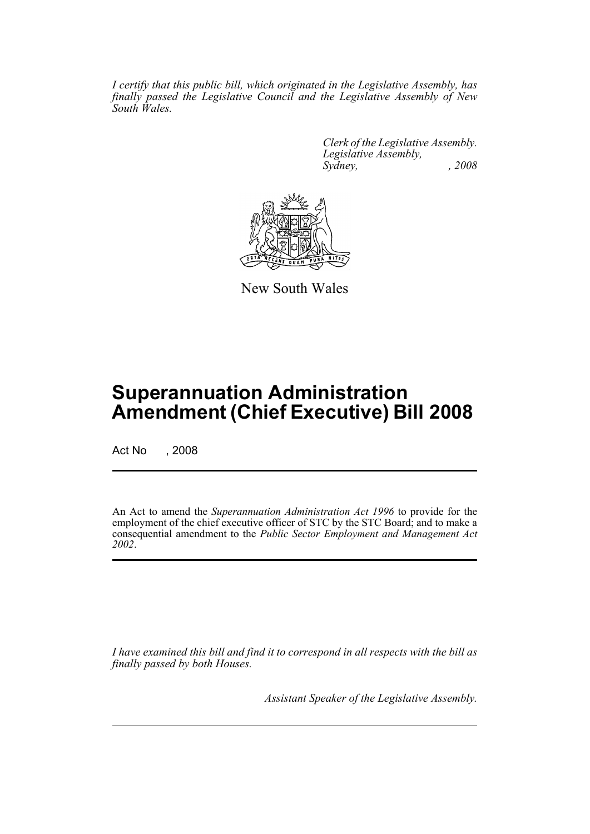*I certify that this public bill, which originated in the Legislative Assembly, has finally passed the Legislative Council and the Legislative Assembly of New South Wales.*

> *Clerk of the Legislative Assembly. Legislative Assembly, Sydney, , 2008*



New South Wales

## **Superannuation Administration Amendment (Chief Executive) Bill 2008**

Act No , 2008

An Act to amend the *Superannuation Administration Act 1996* to provide for the employment of the chief executive officer of STC by the STC Board; and to make a consequential amendment to the *Public Sector Employment and Management Act 2002*.

*I have examined this bill and find it to correspond in all respects with the bill as finally passed by both Houses.*

*Assistant Speaker of the Legislative Assembly.*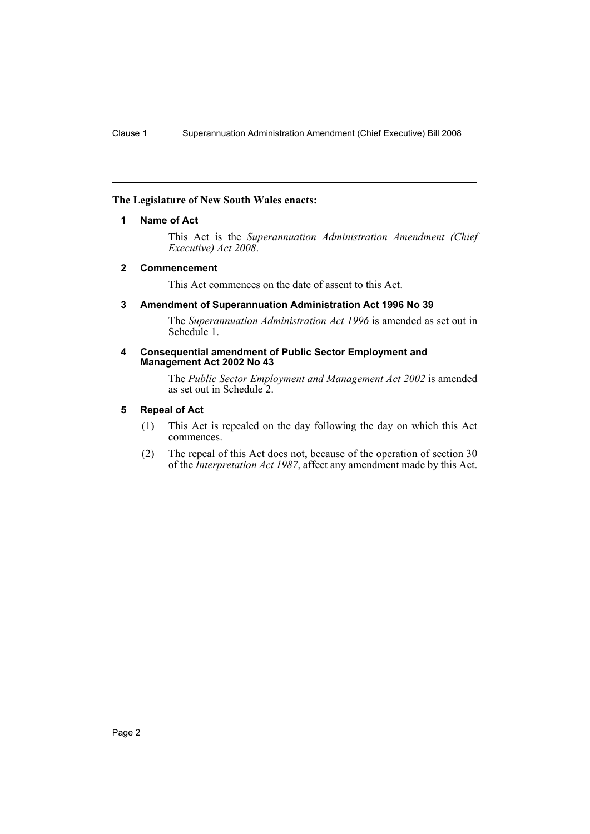#### <span id="page-2-0"></span>**The Legislature of New South Wales enacts:**

#### **1 Name of Act**

This Act is the *Superannuation Administration Amendment (Chief Executive) Act 2008*.

#### <span id="page-2-1"></span>**2 Commencement**

This Act commences on the date of assent to this Act.

#### <span id="page-2-2"></span>**3 Amendment of Superannuation Administration Act 1996 No 39**

The *Superannuation Administration Act 1996* is amended as set out in Schedule 1.

#### <span id="page-2-3"></span>**4 Consequential amendment of Public Sector Employment and Management Act 2002 No 43**

The *Public Sector Employment and Management Act 2002* is amended as set out in Schedule 2.

#### <span id="page-2-4"></span>**5 Repeal of Act**

- (1) This Act is repealed on the day following the day on which this Act commences.
- (2) The repeal of this Act does not, because of the operation of section 30 of the *Interpretation Act 1987*, affect any amendment made by this Act.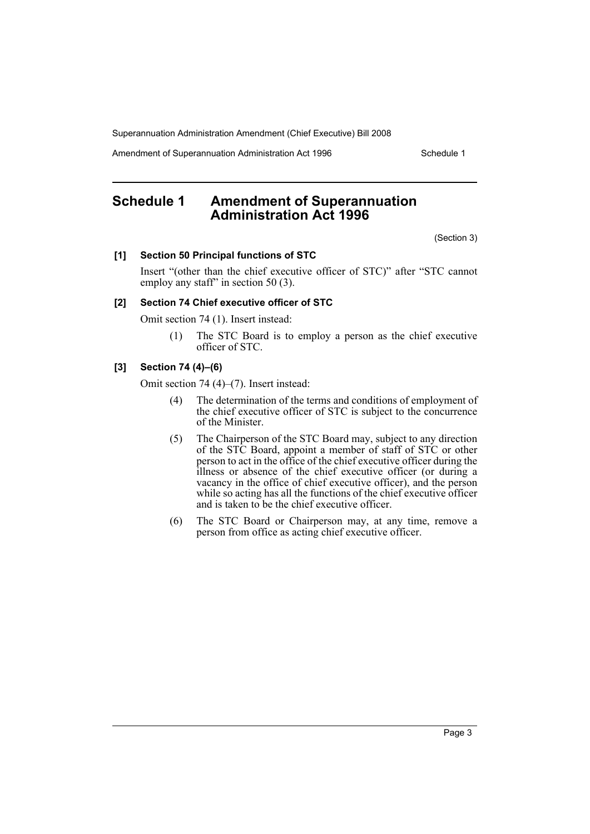Superannuation Administration Amendment (Chief Executive) Bill 2008

Amendment of Superannuation Administration Act 1996 Schedule 1

### <span id="page-3-0"></span>**Schedule 1 Amendment of Superannuation Administration Act 1996**

(Section 3)

#### **[1] Section 50 Principal functions of STC**

Insert "(other than the chief executive officer of STC)" after "STC cannot employ any staff" in section 50 (3).

#### **[2] Section 74 Chief executive officer of STC**

Omit section 74 (1). Insert instead:

(1) The STC Board is to employ a person as the chief executive officer of STC.

#### **[3] Section 74 (4)–(6)**

Omit section 74 (4)–(7). Insert instead:

- (4) The determination of the terms and conditions of employment of the chief executive officer of STC is subject to the concurrence of the Minister.
- (5) The Chairperson of the STC Board may, subject to any direction of the STC Board, appoint a member of staff of STC or other person to act in the office of the chief executive officer during the illness or absence of the chief executive officer (or during a vacancy in the office of chief executive officer), and the person while so acting has all the functions of the chief executive officer and is taken to be the chief executive officer.
- (6) The STC Board or Chairperson may, at any time, remove a person from office as acting chief executive officer.